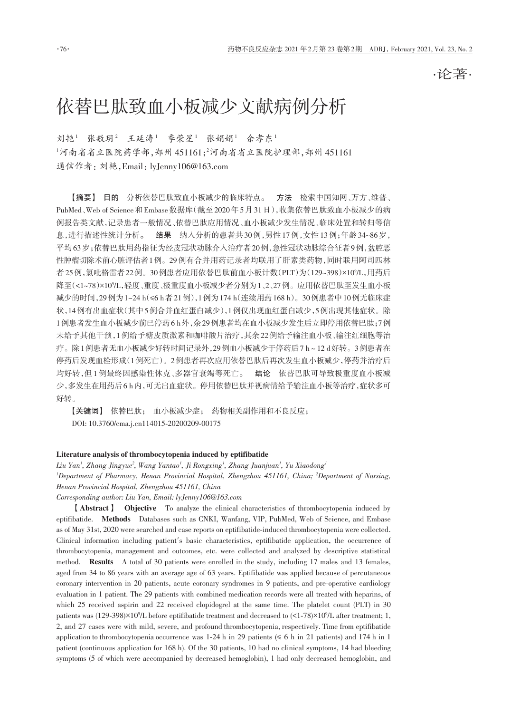·论著·

# 依替巴肽致血小板减少文献病例分析

刘艳<sup>1</sup> 张敬玥<sup>2</sup> 王延涛<sup>1</sup> 季荣星<sup>1</sup> 张娟娟<sup>1</sup> 余孝东<sup>1</sup>  $1$ 河南省省立医院药学部,郑州 451161;2河南省省立医院护理部,郑州 451161 通信作者:刘艳,Email:lyJenny106@163.com

【摘要】 目的 分析依替巴肽致血小板减少的临床特点。 方法 检索中国知网、万方、维普、 PubMed、Web of Science和Embase数据库(截至2020年5月31日),收集依替巴肽致血小板减少的病 例报告类文献,记录患者一般情况、依替巴肽应用情况、血小板减少发生情况、临床处置和转归等信 息,进行描述性统计分析。 结果 纳入分析的患者共30例,男性17例,女性13例;年龄34~86岁, 平均63岁;依替巴肽用药指征为经皮冠状动脉介入治疗者20例,急性冠状动脉综合征者9例,盆腔恶 性肿瘤切除术前心脏评估者1例。29例有合并用药记录者均联用了肝素类药物,同时联用阿司匹林 者 25 例,氯吡格雷者 22 例。30 例患者应用依替巴肽前血小板计数(PLT)为(129~398)×10°/L,用药后 降至(<1~78)×109 /L,轻度、重度、极重度血小板减少者分别为1、2、27例。应用依替巴肽至发生血小板 减少的时间,29例为1~24 h(≤6 h者21例),1例为174 h(连续用药168 h)。30例患者中10例无临床症 状,14例有出血症状(其中5例合并血红蛋白减少),1例仅出现血红蛋白减少,5例出现其他症状。除 1例患者发生血小板减少前已停药6 h外,余29例患者均在血小板减少发生后立即停用依替巴肽;7例 未给予其他干预,1例给予糖皮质激素和咖啡酸片治疗,其余22例给予输注血小板、输注红细胞等治 疗。除1例患者无血小板减少好转时间记录外,29例血小板减少于停药后7 h~12 d好转。3例患者在 停药后发现血栓形成(1例死亡)。2例患者再次应用依替巴肽后再次发生血小板减少,停药并治疗后 均好转,但1例最终因感染性休克、多器官衰竭等死亡。 结论 依替巴肽可导致极重度血小板减 少,多发生在用药后6 h内,可无出血症状。停用依替巴肽并视病情给予输注血小板等治疗,症状多可 好转。

【关键词】 依替巴肽; 血小板减少症; 药物相关副作用和不良反应; DOI: 10.3760/cma.j.cn114015‑20200209‑00175

#### Literature analysis of thrombocytopenia induced by eptifibatide

*Liu Yan1 , Zhang Jingyue2 , Wang Yantao1 , Ji Rongxing1 , Zhang Juanjuan1 , Yu Xiaodong1 1 Department of Pharmacy, Henan Provincial Hospital, Zhengzhou 451161, China; <sup>2</sup> Department of Nursing, Henan Provincial Hospital, Zhengzhou 451161, China*

*Corresponding author: Liu Yan, Email: lyJenny106@163.com*

【Abstract】 Objective To analyze the clinical characteristics of thrombocytopenia induced by eptifibatide. Methods Databases such as CNKI, Wanfang, VIP, PubMed, Web of Science, and Embase as of May 31st, 2020 were searched and case reports on eptifibatide‑induced thrombocytopenia were collected. Clinical information including patient′s basic characteristics, eptifibatide application, the occurrence of thrombocytopenia, management and outcomes, etc. were collected and analyzed by descriptive statistical method. **Results** A total of 30 patients were enrolled in the study, including 17 males and 13 females, aged from 34 to 86 years with an average age of 63 years. Eptifibatide was applied because of percutaneous coronary intervention in 20 patients, acute coronary syndromes in 9 patients, and pre-operative cardiology evaluation in 1 patient. The 29 patients with combined medication records were all treated with heparins, of which 25 received aspirin and 22 received clopidogrel at the same time. The platelet count (PLT) in 30 patients was (129‑398)×109 /L before eptifibatide treatment and decreased to (<1‑78)×109 /L after treatment; 1, 2, and 27 cases were with mild, severe, and profound thrombocytopenia, respectively. Time from eptifibatide application to thrombocytopenia occurrence was 1–24 h in 29 patients ( $\leq 6$  h in 21 patients) and 174 h in 1 patient (continuous application for 168 h). Of the 30 patients, 10 had no clinical symptoms, 14 had bleeding symptoms (5 of which were accompanied by decreased hemoglobin), 1 had only decreased hemoglobin, and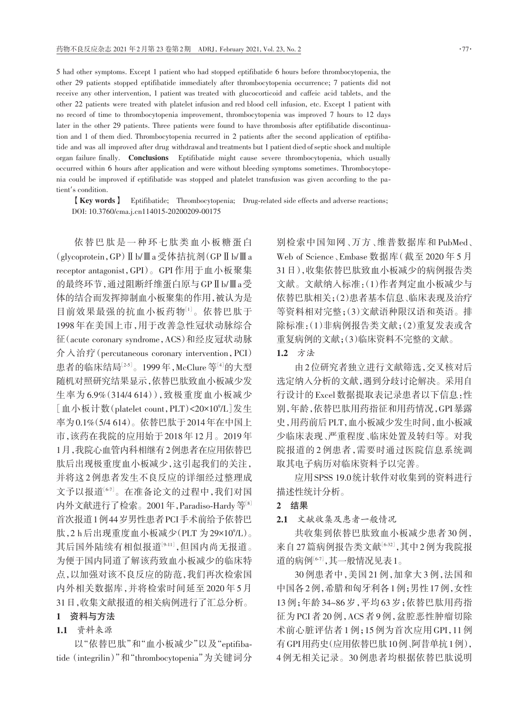5 had other symptoms. Except 1 patient who had stopped eptifibatide 6 hours before thrombocytopenia, the other 29 patients stopped eptifibatide immediately after thrombocytopenia occurrence; 7 patients did not receive any other intervention, 1 patient was treated with glucocorticoid and caffeic acid tablets, and the other 22 patients were treated with platelet infusion and red blood cell infusion, etc. Except 1 patient with no record of time to thrombocytopenia improvement, thrombocytopenia was improved 7 hours to 12 days later in the other 29 patients. Three patients were found to have thrombosis after eptifibatide discontinuation and 1 of them died. Thrombocytopenia recurred in 2 patients after the second application of eptifibatide and was all improved after drug withdrawal and treatments but 1 patient died of septic shock and multiple organ failure finally. Conclusions Eptifibatide might cause severe thrombocytopenia, which usually occurred within 6 hours after application and were without bleeding symptoms sometimes. Thrombocytopenia could be improved if eptifibatide was stopped and platelet transfusion was given according to the patient′s condition.

【Key words】 Eptifibatide; Thrombocytopenia; Drug‑related side effects and adverse reactions; DOI: 10.3760/cma.j.cn114015‑20200209‑00175

依替巴肽是一种环七肽类血小板糖蛋白 (glycoprotein,GP)Ⅱb/Ⅲa 受体拮抗剂(GPⅡb/Ⅲa receptor antagonist,GPI)。GPI 作用于血小板聚集 的最终环节,通过阻断纤维蛋白原与GPⅡb/Ⅲa受 体的结合而发挥抑制血小板聚集的作用,被认为是 目前效果最强的抗血小板药物[1]。依替巴肽于 1998 年在美国上市,用于改善急性冠状动脉综合 征(acute coronary syndrome,ACS)和经皮冠状动脉 介入治疗(percutaneous coronary intervention,PCI) 患者的临床结局 $^{[25]}$ 。1999年,McClure等 $^{[4]}$ 的大型 随机对照研究结果显示,依替巴肽致血小板减少发 生率为 6.9%(314/4 614)),致极重度血小板减少 [血小板计数(platelet count,PLT)<20×109 /L]发生 率为0.1%(5/4 614)。依替巴肽于2014年在中国上 市,该药在我院的应用始于2018年12月。2019年 1月,我院心血管内科相继有2例患者在应用依替巴 肽后出现极重度血小板减少,这引起我们的关注, 并将这 2 例患者发生不良反应的详细经过整理成 文予以报道[6‑7] 。在准备论文的过程中,我们对国 内外文献进行了检索。2001年, Paradiso-Hardy 等[8] 首次报道1例44岁男性患者PCI手术前给予依替巴 肽,2 h后出现重度血小板减少(PLT 为29×10%L)。 其后国外陆续有相似报道<sup>[9-11]</sup>,但国内尚无报道。 为便于国内同道了解该药致血小板减少的临床特 点,以加强对该不良反应的防范,我们再次检索国 内外相关数据库,并将检索时间延至 2020 年 5 月 31日,收集文献报道的相关病例进行了汇总分析。

## 1 资料与方法

## 1.1 资料来源

以"依替巴肽"和"血小板减少"以及"eptifibatide(integrilin)"和"thrombocytopenia"为关键词分 别检索中国知网、万方、维普数据库和 PubMed、 Web of Science、Embase 数据库(截至 2020 年 5 月 31日),收集依替巴肽致血小板减少的病例报告类 文献。文献纳入标准:(1)作者判定血小板减少与 依替巴肽相关;(2)患者基本信息、临床表现及治疗 等资料相对完整;(3)文献语种限汉语和英语。排 除标准:(1)非病例报告类文献;(2)重复发表或含 重复病例的文献;(3)临床资料不完整的文献。

## 1.2 方法

由2位研究者独立进行文献筛选,交叉核对后 选定纳入分析的文献,遇到分歧讨论解决。采用自 行设计的Excel数据提取表记录患者以下信息:性 别,年龄,依替巴肽用药指征和用药情况,GPI暴露 史,用药前后PLT,血小板减少发生时间,血小板减 少临床表现、严重程度、临床处置及转归等。对我 院报道的 2 例患者,需要时通过医院信息系统调 取其电子病历对临床资料予以完善。

应用SPSS 19.0统计软件对收集到的资料进行 描述性统计分析。

## 2 结果

2.1 文献收集及患者一般情况

共收集到依替巴肽致血小板减少患者 30 例, 来自27篇病例报告类文献 $^{\left[ 6\cdot 32 \right]}$ ,其中2例为我院报 道的病例[6-7],其一般情况见表 1。

30 例患者中,美国 21 例,加拿大 3 例,法国和 中国各2例,希腊和匈牙利各1例;男性17例,女性 13 例;年龄 34~86 岁,平均 63 岁;依替巴肽用药指 征为 PCI 者 20 例,ACS 者 9 例,盆腔恶性肿瘤切除 术前心脏评估者 1 例;15 例为首次应用 GPI,11 例 有GPI用药史(应用依替巴肽10例、阿昔单抗1例), 4 例无相关记录。30 例患者均根据依替巴肽说明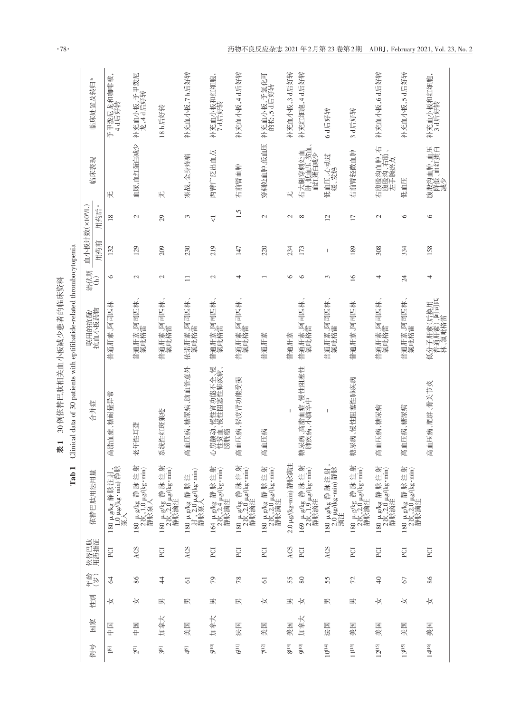|                         |     |                      |                |      | $\overline{\phantom{0}}$<br>Tab                       | inical data of 30 patients with eptifibatide-related thrombocytopenia<br>J |                                  |               |              |                   |                                |                        |
|-------------------------|-----|----------------------|----------------|------|-------------------------------------------------------|----------------------------------------------------------------------------|----------------------------------|---------------|--------------|-------------------|--------------------------------|------------------------|
| 例号                      | 国家  | 性别                   |                | 依替巴肽 |                                                       | 合并症                                                                        | 联用的抗凝/<br>抗血小板药物                 | 潜伏期           | 血小板计数(×10%L) |                   | 临床表现                           | 临床处置及转归。               |
|                         |     |                      | 年龄)            |      | 依替巴肽用法用量                                              |                                                                            |                                  | E             | 用药前          | $\approx$<br>用药后  |                                |                        |
| $1^{\left[6\right]}$    | 囲中  | ₩                    | 2              | PCI  | 180 $\mu$ g/kg 静脉注射,<br>1.0 $\mu$ g/kg·min) 静脉<br>泵入  | 脂血症、糖耐量异常<br>恇                                                             | 普通肝素、阿司匹林                        | $\circ$       | 132          | 18                | $\#$                           | 予甲泼尼龙和咖啡酸,<br>4d后好转    |
| $2^{7}$                 | 囲中  | $\frac{1}{\sqrt{2}}$ | 86             | ACS  | 180 $\mu$ g/kg 静脉注射<br>2次,10 $\mu$ g/(kg·min)<br>静脉泵入 | 老年性耳聋                                                                      | 普通肝素、阿司匹林、<br>氯吡格雷               | $\mathbf{C}$  | 129          | $\mathbf{C}$      | 血尿,血红蛋白减少                      | 补充血小板,予甲泼尼<br>龙,4d后好转  |
| $3^{[8]}$               | 加拿大 | 职                    | $\ddot{4}$     | PCI  | 180 μg/kg 静脉注射<br>2次,2.0 μg/(kg·min)<br>静脉滴注          | 统性红斑狼疮<br>厌                                                                | 普通肝素、阿司匹林、<br>氯吡格雷               | $\mathcal{L}$ | 209          | 29                | $\#$                           | 18 h后好转                |
| $\overline{\mathbb{Q}}$ | 美国  | 职                    | 61             | ACS  | 180 μg/kg 静脉注<br>射, 2.0 μg/kg·min)<br>静脉泵入            | 血压病、糖尿病、脑血管意外<br>桠                                                         | 依诺肝素、阿司匹林、<br>氯吡格雷               | $\Box$        | 230          | 3                 | 寒战,全身疼痛                        | 补充血小板,71后好转            |
| $5^{[10]}$              | 加拿大 | 职                    | $\mathcal{L}$  | PCI  | 164 μg/kg 静脉注射<br>2次,2.4 μg/kg·min)<br>静脉滴注           | 房颤动、慢性肾功能不全、慢<br>性贫血、慢性阻塞性肺疾病、<br>膀胱癌<br>Ş                                 | 普通肝素、阿司匹林、<br>氯吡格雷               | $\mathcal{L}$ | 219          | $\overline{\vee}$ | 两臂广泛出血点                        | 补充血小板和红细胞<br>7d后好转     |
| $6^{[11]}$              | 法国  | 职                    | 78             | PCI  | 射<br>180 µ g/kg 静脉注射<br>2次,2.0 µg/(kg·min)<br>静脉滴注    | 血压病、轻度肾功能受损<br>桠                                                           | 普通肝素、阿司匹林、<br>氯吡格雷               | 4             | 147          | 1.5               | 右前臂血肿                          | 补充血小板,4d后好转            |
| $7^{12}$                | 美国  | ₩                    | $\overline{6}$ | PCI  | 180 μg/kg 静脉注射<br>2次,2.0 μg/(kg·min)<br>静脉滴注          | 血压病<br>桠                                                                   | 普通肝素                             |               | 220          | $\mathcal{L}$     | 穿刺处血肿、低血压                      | 补充血小板,予氢化可<br>的松,5d后好转 |
| $8^{[13]}$              | 囲   | 蚇                    | 55             | ACS  | 2.0 µg/(kg·min)静脉滴注                                   |                                                                            | 普通肝素                             | ≌             | 234          | $\mathbf{\sim}$   | 无                              | 补充血小板,3 d后好转           |
| oud                     | 加拿大 | ₩                    | $80\,$         | PCI  | 169 μ g/kg 静脉注射<br>2次,19 μg/(kg·min)<br>静脉滴注          | 尿病、高脂血症、慢性阻塞性<br>肺疾病、小脑卒中<br>籌                                             | 普通肝素、阿司匹林、<br>氯吡格雷               | $\circ$       | 173          | $\infty$          | 右大腿穿刺处血<br>肿、低血压、贫血、<br>血红蛋白减少 | 补充红细胞,4d后好转            |
| $10^{14}$               | 法国  | 职                    | 55             | ACS  | 180 $\mu$ g/kg 静脉注射<br>2.0 $\mu$ g/kg·min)静脉<br>滴注    | I                                                                          | 普通肝素、阿司匹林<br>氯吡格雷                | 3             | I            | 12                | 低血压、心动过<br>缓、发热                | 6d后好转                  |
| $11^{[15]}$             | 黑米  | 职                    | 72             | PCI  | 180 μg/kg 静脉注射<br>2次,2.0 μg/(kg·min)<br>静脉滴注          | 尿病、慢性阻塞性肺疾病<br>讏                                                           | 普通肝素、阿司匹林                        | 16            | 189          | $\overline{17}$   | 右前臂轻微血肿                        | 3 d后好转                 |
| $12^{[15]}$             | 美国  | K                    | $\Theta$       | ECI  | 180 μg/kg 静脉注射<br>2次,20μg/(kg·min)<br>静脉滴注            | 血压病、糖尿病<br>桠                                                               | 普通肝素、阿司匹林<br>氯吡格雷                | 4             | 308          | 2                 | 右腹股沟血肿,右<br>腹股沟、右肋、<br>左手腕瘀点   | 补充血小板,6d后好转            |
| $13^{[15]}$             | 美国  | ₩                    | 67             | PCI  | 180 μg/kg 静脉注射<br>2次,2.0 μg/kg·min)<br>静脉滴注           | 血压病、糖尿病<br>桠                                                               | 普通肝素、阿司匹林、<br>氯吡格雷               | 24            | 334          | $\circ$           | 低血压                            | 补充血小板,5d后好转            |
| $14^{116}$              | 美国  | K                    | 86             | PCI  |                                                       | 血压病、肥胖、骨关节炎<br>桠                                                           | 低分子肝素(后换用<br>普通肝素)、阿司匹<br>林、氯吡格雷 | 4             | 158          | $\circ$           | 腹股沟血肿、血压<br>降低、血红蛋白<br>減少      | 补充血小板和红细胞,<br>3 d后好转   |

 $\boldsymbol{\cdot}78\boldsymbol{\cdot}$ 

表1 30例依替巴肽相关血小板减少患者的临床资料

表1 30例依替巴肽相关血小板减少患者的临床资料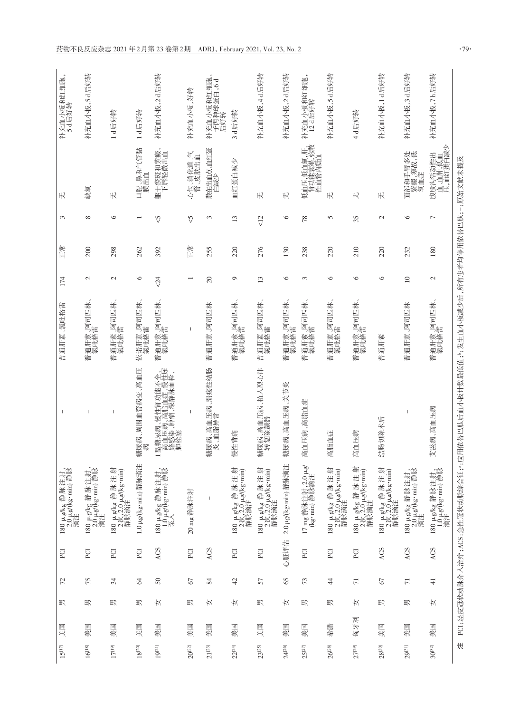| 补充血小板和红细胞,<br>5d后好转                         | 补充血小板,5d后好转                                |                                           |                          | 补充血小板,2d后好转                                                                 | 补充血小板,好转    | 补充血小板和红细胞,<br>予丙种球蛋白,6d<br>后好转     |                                                   | 补充血小板,4d后好转                                 | 补充血小板,2d后好转         | 补充血小板和红细胞<br>12 d后好转                 | 补充血小板,5d后好转                                |                                             | 补充血小板,1d后好转                                 | 补充血小板,3d后好转                                | 补充血小板,7h后好转                                 |
|---------------------------------------------|--------------------------------------------|-------------------------------------------|--------------------------|-----------------------------------------------------------------------------|-------------|------------------------------------|---------------------------------------------------|---------------------------------------------|---------------------|--------------------------------------|--------------------------------------------|---------------------------------------------|---------------------------------------------|--------------------------------------------|---------------------------------------------|
|                                             |                                            | 1d后好转                                     | 1d后好转                    |                                                                             |             |                                    | 3 d后好转                                            |                                             |                     |                                      |                                            | 4 d后好转                                      |                                             |                                            |                                             |
| $\#$                                        | 缺氧                                         | $\#$                                      | 腔、鼻和气管黏<br>膜出血<br>$\Box$ | $\bullet$<br>躯干瘀斑和紫癜<br>下唇轻微出血                                              | 心包、消化道、气    | 散在出血点,血红蛋<br>白减少                   | 血红蛋白减少                                            | $\#$                                        | 无                   | 低血压,低血氧,肝、<br>肾功能衰竭,弥散<br>性血管内凝血     | $\#$                                       | 无                                           | 无                                           | 『部和手臂多处<br>紫癜,寒战,低<br>氧血症<br>澶             | 腹股沟活动性出<br>血、血肿,低血<br>压,血红蛋白减少              |
| 3                                           | ${}^{\circ}$                               | $\circ$                                   |                          | $\sqrt{2}$                                                                  | $\sqrt{2}$  | 3                                  | 13                                                | $\leq$                                      | $\circ$             | 78                                   | 5                                          | 35                                          | $\mathcal{L}$                               | $\circ$                                    | $\overline{ }$                              |
| 正常                                          | 200                                        | 298                                       | 262                      | 392                                                                         | 化油          | 255                                | 220                                               | 276                                         | 130                 | 238                                  | 220                                        | 210                                         | 220                                         | 232                                        | 180                                         |
| 174                                         | $\mathcal{L}$                              | $\mathcal{L}$                             | $\circ$                  | $\sqrt{2}$                                                                  |             | $\overline{c}$                     | $\circ$                                           | 13                                          | $\circ$             | 3                                    | $\circ$                                    | $\circ$                                     | $\circ$                                     | $\overline{10}$                            | $\mathcal{L}$                               |
| 普通肝素、氯吡格雷                                   | 普通肝素、阿司匹林<br>氯吡格雷                          | 普通肝素、阿司匹林<br>氯吡格雷                         | 依诺肝素、阿司匹林<br>氯吡格雷        | 普通肝素、阿司匹林<br>氯吡格雷                                                           |             | 普通肝素、阿司匹林                          | 普通肝素、阿司匹林<br>氯吡格雷                                 | 普通肝素、阿司匹林<br>氯吡格雷                           | 普通肝素、阿司匹林<br>氯吡格雷   | 普通肝素、阿司匹林<br>氯吡格雷                    | 普通肝素、阿司匹林<br>氯吡格雷                          | 普通肝素、阿司匹林<br>氯吡格雷                           | 普通肝素                                        | 普通肝素、阿司匹林                                  | 普通肝素、阿司匹林<br>氯吡格雷                           |
| $\overline{1}$                              | $\overline{\phantom{a}}$                   | $\overline{1}$                            | 周围血管病变、高血压<br>糟尿病,       | 型糖尿病、慢性肾功能不全、<br>高血压病、高脂血症、慢性尿<br>路感染、肿瘤、深静脉血栓、<br>肺栓塞<br>に<br>「自感を<br>「神魔法 | I           | 、高血压病、溃疡性结肠<br>I脂异常<br>糖尿病、<br>炎、血 | 慢性背痛                                              | 、高血压病、植入型心律<br>除颤器<br>糖尿病<br>转复]            | 、高血压病、关节炎<br>糖尿病    | 高血压病、高脂血症                            | 高脂血症                                       | 高血压病                                        | 除术后<br>结肠切                                  | I                                          | 高血压病<br>艾滋病                                 |
| 180 μg/kg 静脉注射,<br>2.0 μg/(kg·min) 静脉<br>滴注 | 180 μg/kg 静脉注射,<br>2.0 μg/(kg·min)静脉<br>滴注 | 180 μg/kg 静脉注射<br>2次,20μg/kg·min)<br>静脉滴注 | 1.0 µg/(kg·min)静脉滴注      | 180 $\mu$ g/kg 静脉注射,<br>1.0 $\mu$ g/(kg·min)静脉<br>泵入                        | 20 mg 静脉注射  | $\overline{\phantom{a}}$           | 射<br>180 µg/kg 静脉注射<br>2次,2.0 µg/(kg·min)<br>静脉滴注 | 180 μg/kg 静脉注射<br>2次,2.0 μg/kg·min)<br>静脉滴注 | 2.0 µg/(kg·min)静脉滴注 | 17 mg 静脉注射, 2.0 μg/<br>(kg·min) 静脉滴注 | 180 μg/kg 静脉注射<br>2次,20μg/(kg·min)<br>静脉滴注 | 180 μg/kg 静脉注射<br>2次,2.0 μg/kg·min)<br>静脉滴注 | 180 μg/kg 静脉注射<br>2次,2.0 μg/kg·min)<br>静脉滴注 | 180 µg/kg 静脉注射,<br>2.0 µg/(kg·min)静脉<br>滴注 | 180 µg/kg 静脉注射,<br>1.0 µg/(kg·min) 静脉<br>滴注 |
| PCI                                         | PCI                                        | PCI                                       | PCI                      | ACS                                                                         | PCI         | ACS                                | PCI                                               | PCI                                         | 心脏评估                | PCI                                  | PCI                                        | PCI                                         | ACS                                         | ACS                                        | ACS                                         |
| 72                                          | 75                                         | 34                                        | 3                        | 50                                                                          | 67          | 84                                 | 42                                                | 57                                          | 65                  | 73                                   | $\frac{4}{3}$                              | $\overline{71}$                             | $\sqrt{6}$                                  | $\overline{71}$                            | $\frac{1}{4}$                               |
| 男                                           | 男                                          | 职                                         | 职                        | ¥                                                                           | 职           | K                                  | Þ                                                 | 职                                           | ₩                   | 蚇                                    | 职                                          | ₩                                           | 职                                           | 职                                          | $\frac{1}{\sqrt{2}}$                        |
| 美国                                          | 美国                                         | 美国                                        | 囲状                       | 美国                                                                          | 美国          | 美国                                 | 囲                                                 | 美国                                          | 玉米                  | 美国                                   | 希腊                                         | 匈牙利                                         | 美国                                          | 美国                                         | 美国                                          |
| $15^{[17]}$                                 | $16^{\left[18\right]}$                     | $17^{\left[19\right]}$                    | $18^{[20]}$              | $19^{[21]}$                                                                 | $20^{[22]}$ | $21^{[23]}$                        | $22^{[24]}$                                       | $23^{[25]}$                                 | $24^{[26]}$         | $25^{[27]}$                          | $26^{[28]}$                                | $27^{[29]}$                                 | $28^{[30]}$                                 | 29[31]                                     | $30^{\left[ 32\right] }$                    |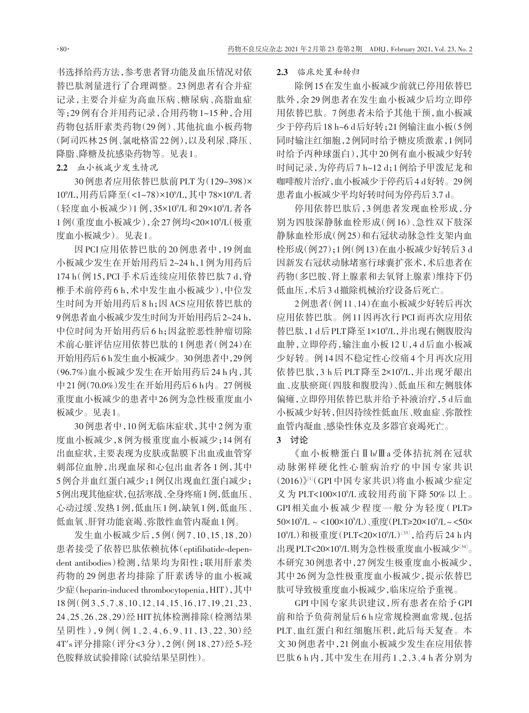书选择给药方法,参考患者肾功能及血压情况对依 替巴肽剂量进行了合理调整。23例患者有合并症 记录,主要合并症为高血压病、糖尿病、高脂血症 等;29例有合并用药记录,合用药物1~15种,合用 药物包括肝素类药物(29 例)、其他抗血小板药物 (阿司匹林25例、氯吡格雷22例),以及利尿、降压、 降脂、降糖及抗感染药物等。见表1。

2.2 血小板减少发生情况

30例患者应用依替巴肽前PLT为(129~398)× 10°/L,用药后降至(<1~78)×10°/L,其中78×10°/L者 (轻度血小板减少)1 例,35×10°/L 和 29×10°/L 者各 1例(重度血小板减少),余27例均<20×109 /L(极重 度血小板减少)。见表1。

因 PCI 应用依替巴肽的 20 例患者中,19 例血 小板减少发生在开始用药后2~24 h,1例为用药后 174 h(例15,PCI 手术后连续应用依替巴肽7 d,脊 椎手术前停药6 h,术中发生血小板减少),中位发 生时间为开始用药后8 h;因ACS应用依替巴肽的 9例患者血小板减少发生时间为开始用药后2~24 h, 中位时间为开始用药后6 h;因盆腔恶性肿瘤切除 术前心脏评估应用依替巴肽的1例患者(例24)在 开始用药后6 h发生血小板减少。30例患者中,29例 (96.7%)血小板减少发生在开始用药后24 h内,其 中21例(70.0%)发生在开始用药后6 h内。27例极 重度血小板减少的患者中26例为急性极重度血小 板减少。见表1。

30例患者中,10例无临床症状,其中2例为重 度血小板减少,8例为极重度血小板减少;14例有 出血症状,主要表现为皮肤或黏膜下出血或血管穿 刺部位血肿,出现血尿和心包出血者各1例,其中 5例合并血红蛋白减少;1例仅出现血红蛋白减少; 5例出现其他症状,包括寒战、全身疼痛1例,低血压、 心动过缓、发热1例,低血压1例,缺氧1例,低血压、 低血氧、肝肾功能衰竭、弥散性血管内凝血1例。

发生血小板减少后,5 例(例 7、10、15、18、20) 患者接受了依替巴肽依赖抗体(eptifibatide-dependent antibodies)检测,结果均为阳性;联用肝素类 药物的 29 例患者均排除了肝素诱导的血小板减 少症(heparin‑induced thrombocytopenia,HIT),其中 18例(例3、5、7、8、10、12、14、15、16、17、19、21、23、 24、25、26、28、29)经 HIT 抗体检测排除(检测结果 呈阴性),9例(例1、2、4、6、9、11、13、22、30)经 4T′s 评分排除(评分≤3 分),2 例(例 18、27)经 5‑羟 色胺释放试验排除(试验结果呈阴性)。

#### 2.3 临床处置和转归

除例15在发生血小板减少前就已停用依替巴 肽外,余 29 例患者在发生血小板减少后均立即停 用依替巴肽。7例患者未给予其他干预,血小板减 少于停药后18 h~6 d后好转;21例输注血小板(5例 同时输注红细胞,2例同时给予糖皮质激素,1例同 时给予丙种球蛋白),其中20例有血小板减少好转 时间记录,为停药后7 h~12 d;1例给予甲泼尼龙和 咖啡酸片治疗,血小板减少于停药后4 d好转。29例 患者血小板减少平均好转时间为停药后3.7 d。

停用依替巴肽后,3 例患者发现血栓形成,分 别为四肢深静脉血栓形成(例 16)、急性双下肢深 静脉血栓形成(例25)和右冠状动脉急性支架内血 栓形成(例27);1例(例13)在血小板减少好转后3 d 因新发右冠状动脉堵塞行球囊扩张术,术后患者在 药物(多巴胺、肾上腺素和去氧肾上腺素)维持下仍 低血压,术后3 d撤除机械治疗设备后死亡。

2例患者(例11、14)在血小板减少好转后再次 应用依替巴肽。例11因再次行PCI而再次应用依 替巴肽,1 d后PLT降至1×109 /L,并出现右侧腹股沟 血肿,立即停药,输注血小板12 U,4 d后血小板减 少好转。例14因不稳定性心绞痛4个月再次应用 依替巴肽,3 h 后 PLT 降至 2×10%L,并出现牙龈出 血、皮肤瘀斑(四肢和腹股沟)、低血压和左侧肢体 偏瘫,立即停用依替巴肽并给予补液治疗,5 d后血 小板减少好转,但因持续性低血压、败血症、弥散性 血管内凝血、感染性休克及多器官衰竭死亡。

## 3 讨论

《血小板糖蛋白Ⅱb/Ⅲa 受体拮抗剂在冠状 动脉粥样硬化性心脏病治疗的中国专家共识  $(2016)$  $^{\text{[1]}}$ (GPI 中国专家共识)将血小板减少症定 义为 PLT<100×10°/L 或较用药前下降 50% 以上。 GPI相关血小板减少程度一般分为轻度(PLT≥ 50×10°/L ~ <100×10°/L) 、重度(PLT≥20×10°/L ~ <50× 10°/L)和极重度(PLT<20×10°/L)[33],给药后 24 h 内 出现 PLT<20×10°/L则为急性极重度血小板减少'34'。 本研究30例患者中,27例发生极重度血小板减少, 其中 26 例为急性极重度血小板减少,提示依替巴 肽可导致极重度血小板减少,临床应给予重视。

GPI 中国专家共识建议,所有患者在给予 GPI 前和给予负荷剂量后6 h应常规检测血常规,包括 PLT、血红蛋白和红细胞压积,此后每天复查。本 文30例患者中,21例血小板减少发生在应用依替 巴肽 6 h 内,其中发生在用药 1、2、3、4 h 者分别为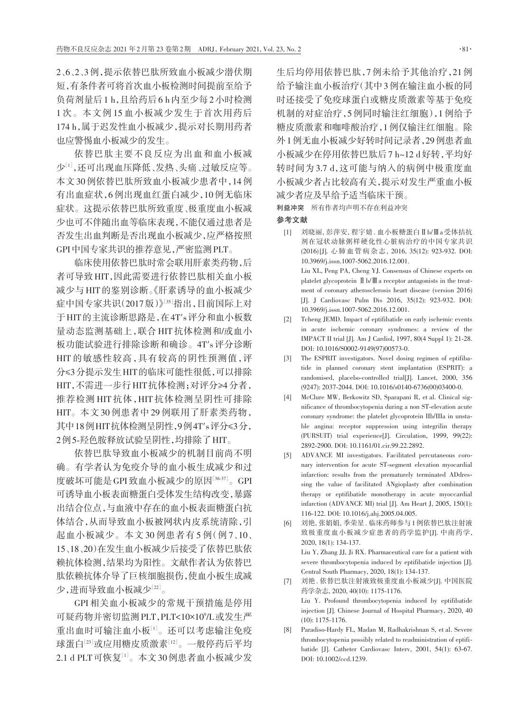2、6、2、3例,提示依替巴肽所致血小板减少潜伏期 短,有条件者可将首次血小板检测时间提前至给予 负荷剂量后1 h,且给药后6 h内至少每2小时检测 1 次。本文例 15 血小板减少发生于首次用药后 174 h,属于迟发性血小板减少,提示对长期用药者 也应警惕血小板减少的发生。

依替巴肽主要不良反应为出血和血小板减 少[1],还可出现血压降低、发热、头痛、过敏反应等。 本文30例依替巴肽所致血小板减少患者中,14例 有出血症状,6例出现血红蛋白减少,10例无临床 症状。这提示依替巴肽所致重度、极重度血小板减 少也可不伴随出血等临床表现,不能仅通过患者是 否发生出血判断是否出现血小板减少,应严格按照 GPI中国专家共识的推荐意见,严密监测PLT。

临床使用依替巴肽时常会联用肝素类药物,后 者可导致HIT,因此需要进行依替巴肽相关血小板 减少与HIT的鉴别诊断。《肝素诱导的血小板减少 症中国专家共识(2017版)》[35] 指出,目前国际上对 于HIT的主流诊断思路是,在4T′s评分和血小板数 量动态监测基础上,联合 HIT 抗体检测和/或血小 板功能试验进行排除诊断和确诊。4T′s评分诊断 HIT 的敏感性较高,具有较高的阴性预测值,评 分≤3分提示发生HIT的临床可能性很低,可以排除 HIT,不需进一步行HIT抗体检测;对评分≥4分者, 推荐检测 HIT 抗体,HIT 抗体检测呈阴性可排除 HIT。本文 30 例患者中 29 例联用了肝素类药物, 其中18例HIT抗体检测呈阴性,9例4T′s评分≤3分, 2例5‑羟色胺释放试验呈阴性,均排除了HIT。

依替巴肽导致血小板减少的机制目前尚不明 确。有学者认为免疫介导的血小板生成减少和过 度破坏可能是GPI致血小板减少的原因[36-37]。GPI 可诱导血小板表面糖蛋白受体发生结构改变,暴露 出结合位点,与血液中存在的血小板表面糖蛋白抗 体结合,从而导致血小板被网状内皮系统清除,引 起血小板减少。本文 30 例患者有 5 例(例 7、10、 15、18、20)在发生血小板减少后接受了依替巴肽依 赖抗体检测,结果均为阳性。文献作者认为依替巴 肽依赖抗体介导了巨核细胞损伤,使血小板生成减 少,进而导致血小板减少 $^{[22]}$ 。

GPI 相关血小板减少的常规干预措施是停用 可疑药物并密切监测PLT,PLT<10×109 /L或发生严 重出血时可输注血小板[1] 。还可以考虑输注免疫 球蛋白『<sup>3]</sup>或应用糖皮质激素『<sup>12』</sup>。 一般停药后平均  $2.1\ \mathrm{d}\ \mathrm{PLT}$ 可恢复 $^{[1]}$ 。本文 $30\,$ 例患者血小板减少发

生后均停用依替巴肽,7例未给予其他治疗,21例 给予输注血小板治疗(其中3例在输注血小板的同 时还接受了免疫球蛋白或糖皮质激素等基于免疫 机制的对症治疗,5例同时输注红细胞),1例给予 糖皮质激素和咖啡酸治疗,1例仅输注红细胞。除 外1例无血小板减少好转时间记录者,29例患者血 小板减少在停用依替巴肽后7 h~12 d好转,平均好 转时间为 3.7 d,这可能与纳入的病例中极重度血 小板减少者占比较高有关,提示对发生严重血小板 减少者应及早给予适当临床干预。

利益冲突 所有作者均声明不存在利益冲突

#### 参考文献

[1] 刘晓丽, 彭萍安, 程宇婧. 血小板糖蛋白Ⅱb/Ⅲa受体拮抗 剂在冠状动脉粥样硬化性心脏病治疗的中国专家共识 (2016) [J]. 心肺血管病杂志, 2016, 35(12): 923‑932. DOI: 10.3969/j.issn.1007‑5062.2016.12.001. Liu XL, Peng PA, Cheng YJ. Consensus of Chinese experts on platelet glycoprotein Ⅱ b/Ⅲ a receptor antagonists in the treat– ment of coronary atherosclerosis heart disease (version 2016)

[J]. J Cardiovasc Pulm Dis 2016, 35(12): 923-932. DOI: 10.3969/j.issn.1007‑5062.2016.12.001. [2] Tcheng JEMD. Impact of eptifibatide on early ischemic events

- in acute ischemic coronary syndromes: a review of the IMPACT II trial [J]. Am J Cardiol, 1997, 80(4 Suppl 1): 21‑28. DOI: 10.1016/S0002‑9149(97)00573‑0.
- [3] The ESPRIT investigators. Novel dosing regimen of eptifibatide in planned coronary stent implantation (ESPRIT): a randomised, placebo‑controlled trial[J]. Lancet, 2000, 356 (9247): 2037‑2044. DOI: 10.1016/s0140‑6736(00)03400‑0.
- [4] McClure MW, Berkowitz SD, Sparapani R, et al. Clinical significance of thrombocytopenia during a non ST‑elevation acute coronary syndrome: the platelet glycoprotein IIb/IIIa in unstable angina: receptor suppression using integrilin therapy (PURSUIT) trial experience[J]. Circulation, 1999, 99(22): 2892‑2900. DOI: 10.1161/01.cir.99.22.2892.
- [5] ADVANCE MI investigators. Facilitated percutaneous coronary intervention for acute ST‑segment elevation myocardial infarction: results from the prematurely terminated ADdressing the value of facilitated ANgioplasty after combination therapy or eptifibatide monotherapy in acute myoccardial infarction (ADVANCE MI) trial [J]. Am Heart J, 2005, 150(1): 116‑122. DOI: 10.1016/j.ahj.2005.04.005.
- [6] 刘艳, 张娟娟, 季荣星. 临床药师参与1例依替巴肽注射液 致极重度血小板减少症患者的药学监护[J]. 中南药学, 2020, 18(1): 134‑137. Liu Y, Zhang JJ, Ji RX. Pharmaceutical care for a patient with

severe thrombocytopenia induced by eptifibatide injection [J]. Central South Pharmacy, 2020, 18(1): 134‑137.

- [7] 刘艳. 依替巴肽注射液致极重度血小板减少[J]. 中国医院 药学杂志, 2020, 40(10): 1175‑1176. Liu Y. Profound thrombocytopenia induced by eptifibatide injection [J]. Chinese Journal of Hospital Pharmacy, 2020, 40 (10): 1175‑1176.
- Paradiso-Hardy FL, Madan M, Radhakrishnan S, et al. Severe thrombocytopenia possibly related to readministration of eptifibatide [J]. Catheter Cardiovasc Interv, 2001, 54(1): 63-67. DOI: 10.1002/ccd.1239.